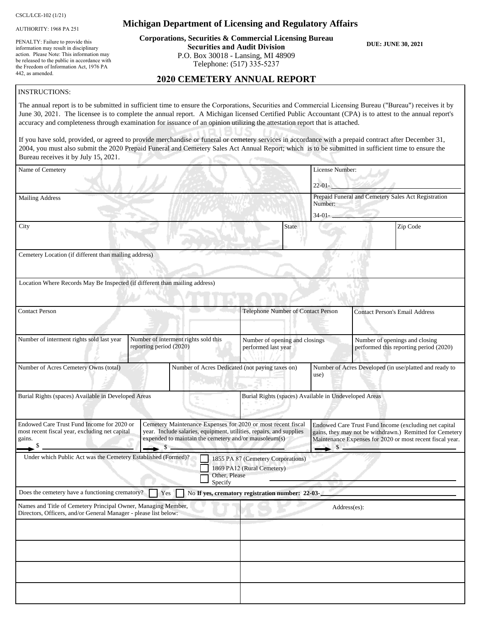CSCL/LCE-102 (1/21)

AUTHORITY: 1968 PA 251

PENALTY: Failure to provide this information may result in disciplinary action. Please Note: This information may be released to the public in accordance with the Freedom of Information Act, 1976 PA 442, as amended.

#### **Michigan Department of Licensing and Regulatory Affairs**

**Corporations, Securities & Commercial Licensing Bureau Securities and Audit Division** P.O. Box 30018 - Lansing, MI 48909 Telephone: (517) 335-5237

**DUE: JUNE 30, 2021**

#### **2020 CEMETERY ANNUAL REPORT**

#### INSTRUCTIONS:

The annual report is to be submitted in sufficient time to ensure the Corporations, Securities and Commercial Licensing Bureau ("Bureau") receives it by June 30, 2021. The licensee is to complete the annual report. A Michigan licensed Certified Public Accountant (CPA) is to attest to the annual report's accuracy and completeness through examination for issuance of an opinion utilizing the attestation report that is attached.

If you have sold, provided, or agreed to provide merchandise or funeral or cemetery services in accordance with a prepaid contract after December 31, 2004, you must also submit the 2020 Prepaid Funeral and Cemetery Sales Act Annual Report; which is to be submitted in sufficient time to ensure the Bureau receives it by July 15, 2021.

| $arctan$ received it by $\sigma$ and                                                                                              |                                                                                                                                                                                                           |                                                                                   |                   |                                       |                                                                                                                                                                                |
|-----------------------------------------------------------------------------------------------------------------------------------|-----------------------------------------------------------------------------------------------------------------------------------------------------------------------------------------------------------|-----------------------------------------------------------------------------------|-------------------|---------------------------------------|--------------------------------------------------------------------------------------------------------------------------------------------------------------------------------|
| Name of Cemetery                                                                                                                  |                                                                                                                                                                                                           | License Number:                                                                   |                   |                                       |                                                                                                                                                                                |
|                                                                                                                                   |                                                                                                                                                                                                           |                                                                                   | $22 - 01 -$       |                                       |                                                                                                                                                                                |
| <b>Mailing Address</b>                                                                                                            |                                                                                                                                                                                                           |                                                                                   | Number:           |                                       | Prepaid Funeral and Cemetery Sales Act Registration                                                                                                                            |
|                                                                                                                                   |                                                                                                                                                                                                           |                                                                                   | $34-01-$          |                                       |                                                                                                                                                                                |
| City                                                                                                                              |                                                                                                                                                                                                           | <b>State</b>                                                                      |                   |                                       | Zip Code                                                                                                                                                                       |
| Cemetery Location (if different than mailing address)                                                                             |                                                                                                                                                                                                           |                                                                                   |                   |                                       |                                                                                                                                                                                |
| Location Where Records May Be Inspected (if different than mailing address)                                                       |                                                                                                                                                                                                           |                                                                                   |                   |                                       |                                                                                                                                                                                |
| <b>Contact Person</b>                                                                                                             |                                                                                                                                                                                                           | Telephone Number of Contact Person                                                |                   | <b>Contact Person's Email Address</b> |                                                                                                                                                                                |
| Number of interment rights sold last year                                                                                         | Number of interment rights sold this<br>reporting period (2020)                                                                                                                                           | Number of opening and closings<br>performed last year                             |                   |                                       | Number of openings and closing<br>performed this reporting period (2020)                                                                                                       |
| Number of Acres Cemetery Owns (total)                                                                                             |                                                                                                                                                                                                           | Number of Acres Dedicated (not paying taxes on)                                   | use)              |                                       | Number of Acres Developed (in use/platted and ready to                                                                                                                         |
| Burial Rights (spaces) Available in Developed Areas                                                                               |                                                                                                                                                                                                           | Burial Rights (spaces) Available in Undeveloped Areas                             |                   |                                       |                                                                                                                                                                                |
| Endowed Care Trust Fund Income for 2020 or<br>most recent fiscal year, excluding net capital<br>gains.<br>- \$                    | Cemetery Maintenance Expenses for 2020 or most recent fiscal<br>year. Include salaries, equipment, utilities, repairs, and supplies<br>expended to maintain the cemetery and/or mausoleum(s)<br>$\sim$ \$ |                                                                                   | $\perp$ s $\perp$ |                                       | Endowed Care Trust Fund Income (excluding net capital<br>gains, they may not be withdrawn.) Remitted for Cemetery<br>Maintenance Expenses for 2020 or most recent fiscal year. |
| Under which Public Act was the Cemetery Established (Formed)?                                                                     | Specify                                                                                                                                                                                                   | 1855 PA 87 (Cemetery Corporations)<br>1869 PA12 (Rural Cemetery)<br>Other, Please |                   |                                       |                                                                                                                                                                                |
| Does the cemetery have a functioning crematory?                                                                                   | Yes                                                                                                                                                                                                       | No If yes, crematory registration number: 22-03-                                  |                   |                                       |                                                                                                                                                                                |
| Names and Title of Cemetery Principal Owner, Managing Member,<br>Directors, Officers, and/or General Manager - please list below: |                                                                                                                                                                                                           |                                                                                   |                   | Address(es):                          |                                                                                                                                                                                |
|                                                                                                                                   |                                                                                                                                                                                                           |                                                                                   |                   |                                       |                                                                                                                                                                                |
|                                                                                                                                   |                                                                                                                                                                                                           |                                                                                   |                   |                                       |                                                                                                                                                                                |
|                                                                                                                                   |                                                                                                                                                                                                           |                                                                                   |                   |                                       |                                                                                                                                                                                |
|                                                                                                                                   |                                                                                                                                                                                                           |                                                                                   |                   |                                       |                                                                                                                                                                                |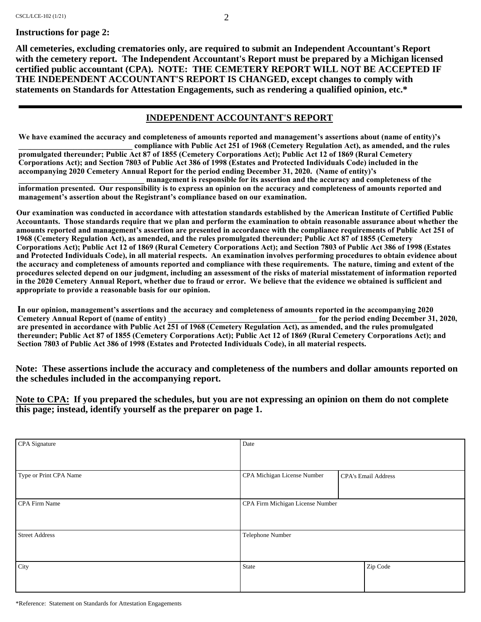**All cemeteries, excluding crematories only, are required to submit an Independent Accountant's Report with the cemetery report. The Independent Accountant's Report must be prepared by a Michigan licensed certified public accountant (CPA). NOTE: THE CEMETERY REPORT WILL NOT BE ACCEPTED IF THE INDEPENDENT ACCOUNTANT'S REPORT IS CHANGED, except changes to comply with statements on Standards for Attestation Engagements, such as rendering a qualified opinion, etc.\***

#### **INDEPENDENT ACCOUNTANT'S REPORT**

**We have examined the accuracy and completeness of amounts reported and management's assertions about (name of entity)'s \_\_\_\_\_\_\_\_\_\_\_\_\_\_\_\_\_\_\_\_\_\_\_\_\_\_\_\_\_ compliance with Public Act 251 of 1968 (Cemetery Regulation Act), as amended, and the rules** 

**promulgated thereunder; Public Act 87 of 1855 (Cemetery Corporations Act); Public Act 12 of 1869 (Rural Cemetery Corporations Act); and Section 7803 of Public Act 386 of 1998 (Estates and Protected Individuals Code) included in the accompanying 2020 Cemetery Annual Report for the period ending December 31, 2020. (Name of entity)'s** 

**\_\_\_\_\_\_\_\_\_\_\_\_\_\_\_\_\_\_\_\_\_\_\_\_\_\_\_\_\_\_\_\_ management is responsible for its assertion and the accuracy and completeness of the information presented. Our responsibility is to express an opinion on the accuracy and completeness of amounts reported and management's assertion about the Registrant's compliance based on our examination.**

**Our examination was conducted in accordance with attestation standards established by the American Institute of Certified Public Accountants. Those standards require that we plan and perform the examination to obtain reasonable assurance about whether the amounts reported and management's assertion are presented in accordance with the compliance requirements of Public Act 251 of 1968 (Cemetery Regulation Act), as amended, and the rules promulgated thereunder; Public Act 87 of 1855 (Cemetery Corporations Act); Public Act 12 of 1869 (Rural Cemetery Corporations Act); and Section 7803 of Public Act 386 of 1998 (Estates and Protected Individuals Code), in all material respects. An examination involves performing procedures to obtain evidence about the accuracy and completeness of amounts reported and compliance with these requirements. The nature, timing and extent of the procedures selected depend on our judgment, including an assessment of the risks of material misstatement of information reported in the 2020 Cemetery Annual Report, whether due to fraud or error. We believe that the evidence we obtained is sufficient and appropriate to provide a reasonable basis for our opinion.**

**In our opinion, management's assertions and the accuracy and completeness of amounts reported in the accompanying 2020 Cemetery Annual Report of (name of entity) \_\_\_\_\_\_\_\_\_\_\_\_\_\_\_\_\_\_\_\_\_\_\_\_\_\_\_\_\_\_\_\_\_\_\_\_\_\_ for the period ending December 31, 2020, are presented in accordance with Public Act 251 of 1968 (Cemetery Regulation Act), as amended, and the rules promulgated thereunder; Public Act 87 of 1855 (Cemetery Corporations Act); Public Act 12 of 1869 (Rural Cemetery Corporations Act); and Section 7803 of Public Act 386 of 1998 (Estates and Protected Individuals Code), in all material respects.**

**Note: These assertions include the accuracy and completeness of the numbers and dollar amounts reported on the schedules included in the accompanying report.**

**Note to CPA: If you prepared the schedules, but you are not expressing an opinion on them do not complete this page; instead, identify yourself as the preparer on page 1.**

| CPA Signature          | Date                             |                            |  |
|------------------------|----------------------------------|----------------------------|--|
|                        |                                  |                            |  |
| Type or Print CPA Name | CPA Michigan License Number      | <b>CPA's Email Address</b> |  |
|                        |                                  |                            |  |
| <b>CPA Firm Name</b>   | CPA Firm Michigan License Number |                            |  |
|                        |                                  |                            |  |
| <b>Street Address</b>  | Telephone Number                 |                            |  |
|                        |                                  |                            |  |
| City                   | State                            | Zip Code                   |  |
|                        |                                  |                            |  |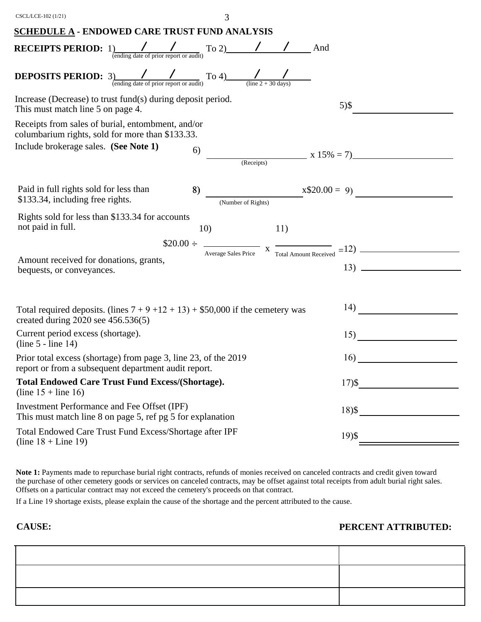| CSCL/LCE-102 (1/21)                                                                                                                                                     | 3          |                                                                                                  |
|-------------------------------------------------------------------------------------------------------------------------------------------------------------------------|------------|--------------------------------------------------------------------------------------------------|
| <b>SCHEDULE A - ENDOWED CARE TRUST FUND ANALYSIS</b>                                                                                                                    |            |                                                                                                  |
| <b>RECEIPTS PERIOD:</b> $1)$<br>(ending date of prior report or audit) To 2) / / / And                                                                                  |            |                                                                                                  |
| <b>DEPOSITS PERIOD:</b> 3) $\frac{1}{\frac{(\text{ending date of prior report or audit})}{(\text{error report or audit})}}$ To 4) $\frac{1}{(\text{line 2 + 30 days})}$ |            |                                                                                                  |
| Increase (Decrease) to trust fund(s) during deposit period.<br>This must match line 5 on page 4.                                                                        |            | $5)$ \$                                                                                          |
| Receipts from sales of burial, entombment, and/or<br>columbarium rights, sold for more than \$133.33.                                                                   |            |                                                                                                  |
| Include brokerage sales. (See Note 1)                                                                                                                                   | 6)         | $x 15\% = 7$                                                                                     |
| Paid in full rights sold for less than<br>\$133.34, including free rights.                                                                                              | 8)         | $x$20.00 = 9$                                                                                    |
| Rights sold for less than \$133.34 for accounts<br>not paid in full.                                                                                                    | 10)<br>11) |                                                                                                  |
|                                                                                                                                                                         |            | $$20.00 \div \frac{}{\text{Average Sales Price}}$ x $\frac{}{\text{Total Amount received}} = 12$ |
| Amount received for donations, grants,<br>bequests, or conveyances.                                                                                                     |            |                                                                                                  |
|                                                                                                                                                                         |            |                                                                                                  |
| Total required deposits. (lines $7 + 9 + 12 + 13$ ) + \$50,000 if the cemetery was<br>created during $2020$ see $456.536(5)$                                            |            |                                                                                                  |
| Current period excess (shortage).<br>$(line 5 - line 14)$                                                                                                               |            | 15)                                                                                              |
| Prior total excess (shortage) from page 3, line 23, of the 2019<br>report or from a subsequent department audit report.                                                 |            | 16)                                                                                              |
| <b>Total Endowed Care Trust Fund Excess/(Shortage).</b><br>(line $15 +$ line 16)                                                                                        |            | $17)$ \$                                                                                         |
| Investment Performance and Fee Offset (IPF)<br>This must match line 8 on page 5, ref pg 5 for explanation                                                               |            | $18)$ \$                                                                                         |
| Total Endowed Care Trust Fund Excess/Shortage after IPF<br>(line $18 +$ Line 19)                                                                                        |            | $19)$ \$                                                                                         |

**Note 1:** Payments made to repurchase burial right contracts, refunds of monies received on canceled contracts and credit given toward the purchase of other cemetery goods or services on canceled contracts, may be offset against total receipts from adult burial right sales. Offsets on a particular contract may not exceed the cemetery's proceeds on that contract.

If a Line 19 shortage exists, please explain the cause of the shortage and the percent attributed to the cause.

**CAUSE: PERCENT ATTRIBUTED:**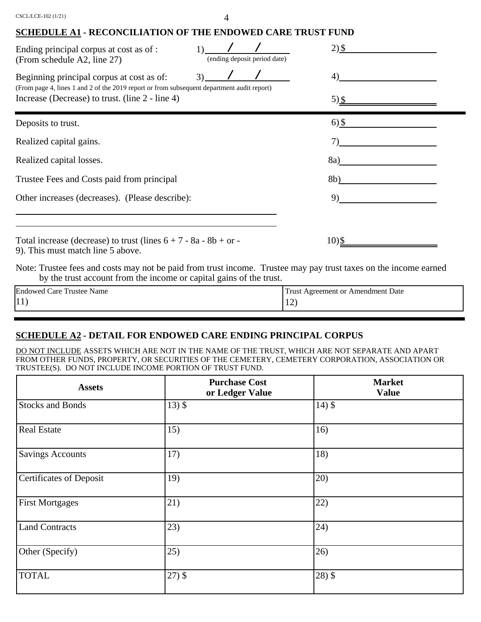### **SCHEDULE A1 - RECONCILIATION OF THE ENDOWED CARE TRUST FUND**

| Ending principal corpus at cost as of :<br>(From schedule A2, line 27)                                                                                                                     | (ending deposit period date) | $2)$ \$     |  |
|--------------------------------------------------------------------------------------------------------------------------------------------------------------------------------------------|------------------------------|-------------|--|
| Beginning principal corpus at cost as of:<br>(From page 4, lines 1 and 2 of the 2019 report or from subsequent department audit report)<br>Increase (Decrease) to trust. (line 2 - line 4) | 3)                           | 4)<br>5) \$ |  |
| Deposits to trust.                                                                                                                                                                         |                              | $6)$ \$     |  |
| Realized capital gains.                                                                                                                                                                    |                              |             |  |
| Realized capital losses.                                                                                                                                                                   |                              | 8a)         |  |
| Trustee Fees and Costs paid from principal                                                                                                                                                 |                              | 8b)         |  |
| Other increases (decreases). (Please describe):                                                                                                                                            |                              | 9)          |  |
| Total increase (decrease) to trust (lines $6 + 7 - 8a - 8b + or$<br>9). This must match line 5 above.                                                                                      |                              | 10)\$       |  |
| Note: Trustee fees and costs may not be paid from trust income. Trustee may pay trust taxes on the income earned                                                                           |                              |             |  |

by the trust account from the income or capital gains of the trust.

| Endowed<br>$\mathbf{r}$<br>Name<br>u Care "<br>Trustee | : Agreement or Amendment Date<br>Frust |
|--------------------------------------------------------|----------------------------------------|
| $ 11\rangle$                                           | $\overline{\phantom{a}}$<br><b>I</b> 4 |

# **SCHEDULE A2 - DETAIL FOR ENDOWED CARE ENDING PRINCIPAL CORPUS**

DO NOT INCLUDE ASSETS WHICH ARE NOT IN THE NAME OF THE TRUST, WHICH ARE NOT SEPARATE AND APART FROM OTHER FUNDS, PROPERTY, OR SECURITIES OF THE CEMETERY, CEMETERY CORPORATION, ASSOCIATION OR TRUSTEE(S). DO NOT INCLUDE INCOME PORTION OF TRUST FUND.

| <b>Assets</b>                  | <b>Purchase Cost</b><br>or Ledger Value | <b>Market</b><br><b>Value</b> |
|--------------------------------|-----------------------------------------|-------------------------------|
| <b>Stocks and Bonds</b>        | $13)$ \$                                | $14)$ \$                      |
| <b>Real Estate</b>             | 15)                                     | 16)                           |
| <b>Savings Accounts</b>        | 17)                                     | 18)                           |
| <b>Certificates of Deposit</b> | 19)                                     | 20)                           |
| <b>First Mortgages</b>         | 21)                                     | 22)                           |
| <b>Land Contracts</b>          | 23)                                     | (24)                          |
| Other (Specify)                | 25)                                     | 26)                           |
| <b>TOTAL</b>                   | $27)$ \$                                | $28)$ \$                      |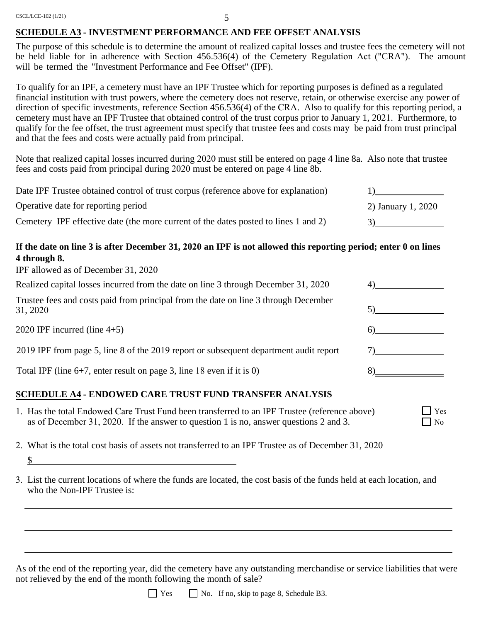CSCL/LCE-102 (1/21)

#### 5

#### **SCHEDULE A3 - INVESTMENT PERFORMANCE AND FEE OFFSET ANALYSIS**

The purpose of this schedule is to determine the amount of realized capital losses and trustee fees the cemetery will not be held liable for in adherence with Section 456.536(4) of the Cemetery Regulation Act ("CRA"). The amount will be termed the "Investment Performance and Fee Offset" (IPF).

To qualify for an IPF, a cemetery must have an IPF Trustee which for reporting purposes is defined as a regulated financial institution with trust powers, where the cemetery does not reserve, retain, or otherwise exercise any power of direction of specific investments, reference Section 456.536(4) of the CRA. Also to qualify for this reporting period, a cemetery must have an IPF Trustee that obtained control of the trust corpus prior to January 1, 2021. Furthermore, to qualify for the fee offset, the trust agreement must specify that trustee fees and costs may be paid from trust principal and that the fees and costs were actually paid from principal.

Note that realized capital losses incurred during 2020 must still be entered on page 4 line 8a. Also note that trustee fees and costs paid from principal during 2020 must be entered on page 4 line 8b.

| Date IPF Trustee obtained control of trust corpus (reference above for explanation) |                    |
|-------------------------------------------------------------------------------------|--------------------|
| Operative date for reporting period                                                 | 2) January 1, 2020 |
| Cemetery IPF effective date (the more current of the dates posted to lines 1 and 2) |                    |

### **If the date on line 3 is after December 31, 2020 an IPF is not allowed this reporting period; enter 0 on lines 4 through 8.**

IPF allowed as of December 31, 2020

\$

| Realized capital losses incurred from the date on line 3 through December 31, 2020              |  |
|-------------------------------------------------------------------------------------------------|--|
| Trustee fees and costs paid from principal from the date on line 3 through December<br>31, 2020 |  |
| 2020 IPF incurred (line $4+5$ )                                                                 |  |
| 2019 IPF from page 5, line 8 of the 2019 report or subsequent department audit report           |  |
| Total IPF (line $6+7$ , enter result on page 3, line 18 even if it is 0)                        |  |
|                                                                                                 |  |

Yes  $\Box$  No

#### **SCHEDULE A4 - ENDOWED CARE TRUST FUND TRANSFER ANALYSIS**

- 1. Has the total Endowed Care Trust Fund been transferred to an IPF Trustee (reference above) as of December 31, 2020. If the answer to question 1 is no, answer questions 2 and 3.
- 2. What is the total cost basis of assets not transferred to an IPF Trustee as of December 31, 2020
- 3. List the current locations of where the funds are located, the cost basis of the funds held at each location, and who the Non-IPF Trustee is:

As of the end of the reporting year, did the cemetery have any outstanding merchandise or service liabilities that were not relieved by the end of the month following the month of sale?

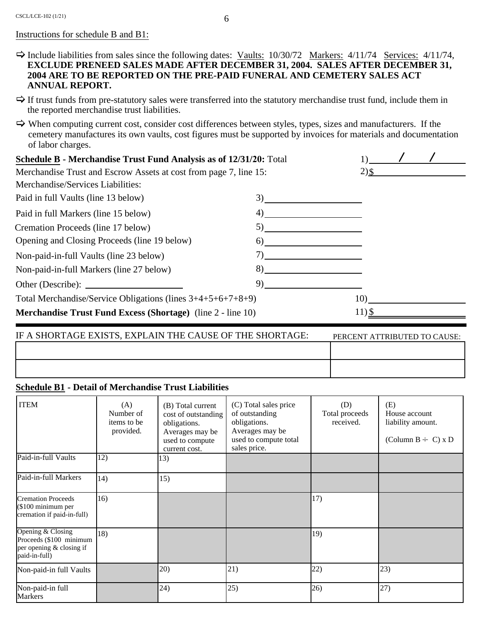#### Instructions for schedule B and B1:

- $\Rightarrow$  Include liabilities from sales since the following dates: <u>Vaults:</u> 10/30/72 <u>Markers:</u> 4/11/74 <u>Services:</u> 4/11/74, **EXCLUDE PRENEED SALES MADE AFTER DECEMBER 31, 2004. SALES AFTER DECEMBER 31, 2004 ARE TO BE REPORTED ON THE PRE-PAID FUNERAL AND CEMETERY SALES ACT ANNUAL REPORT.**
- $\Rightarrow$  If trust funds from pre-statutory sales were transferred into the statutory merchandise trust fund, include them in the reported merchandise trust liabilities.
- $\Rightarrow$  When computing current cost, consider cost differences between styles, types, sizes and manufacturers. If the cemetery manufactures its own vaults, cost figures must be supported by invoices for materials and documentation of labor charges.

| Schedule B - Merchandise Trust Fund Analysis as of 12/31/20: Total |    |          |  |
|--------------------------------------------------------------------|----|----------|--|
| Merchandise Trust and Escrow Assets at cost from page 7, line 15:  |    | $2)$ \$  |  |
| Merchandise/Services Liabilities:                                  |    |          |  |
| Paid in full Vaults (line 13 below)                                | 3) |          |  |
| Paid in full Markers (line 15 below)                               | 4) |          |  |
| Cremation Proceeds (line 17 below)                                 | 5) |          |  |
| Opening and Closing Proceeds (line 19 below)                       | 6) |          |  |
| Non-paid-in-full Vaults (line 23 below)                            |    |          |  |
| Non-paid-in-full Markers (line 27 below)                           | 8) |          |  |
|                                                                    | 9) |          |  |
| Total Merchandise/Service Obligations (lines $3+4+5+6+7+8+9$ )     |    | 10)      |  |
| <b>Merchandise Trust Fund Excess (Shortage)</b> (line 2 - line 10) |    | $11)$ \$ |  |

| IF A SHORTAGE EXISTS, EXPLAIN THE CAUSE OF THE SHORTAGE: | PERCENT ATTRIBUTED TO CAUSE: |
|----------------------------------------------------------|------------------------------|
|                                                          |                              |
|                                                          |                              |

#### **Schedule B1 - Detail of Merchandise Trust Liabilities**

| <b>ITEM</b>                                                                               | (A)<br>Number of<br>items to be<br>provided. | (B) Total current<br>cost of outstanding<br>obligations.<br>Averages may be<br>used to compute<br>current cost. | (C) Total sales price<br>of outstanding<br>obligations.<br>Averages may be<br>used to compute total<br>sales price. | (D)<br>Total proceeds<br>received. | (E)<br>House account<br>liability amount.<br>(Column B $\div$ C) x D |
|-------------------------------------------------------------------------------------------|----------------------------------------------|-----------------------------------------------------------------------------------------------------------------|---------------------------------------------------------------------------------------------------------------------|------------------------------------|----------------------------------------------------------------------|
| Paid-in-full Vaults                                                                       | 12)                                          | 13)                                                                                                             |                                                                                                                     |                                    |                                                                      |
| Paid-in-full Markers                                                                      | 14)                                          | 15)                                                                                                             |                                                                                                                     |                                    |                                                                      |
| <b>Cremation Proceeds</b><br>(\$100 minimum per<br>cremation if paid-in-full)             | 16)                                          |                                                                                                                 |                                                                                                                     | 17)                                |                                                                      |
| Opening & Closing<br>Proceeds (\$100 minimum<br>per opening & closing if<br>paid-in-full) | 18)                                          |                                                                                                                 |                                                                                                                     | 19)                                |                                                                      |
| Non-paid-in full Vaults                                                                   |                                              | 20)                                                                                                             | 21)                                                                                                                 | 22)                                | 23)                                                                  |
| Non-paid-in full<br><b>Markers</b>                                                        |                                              | 24)                                                                                                             | 25)                                                                                                                 | 26)                                | 27)                                                                  |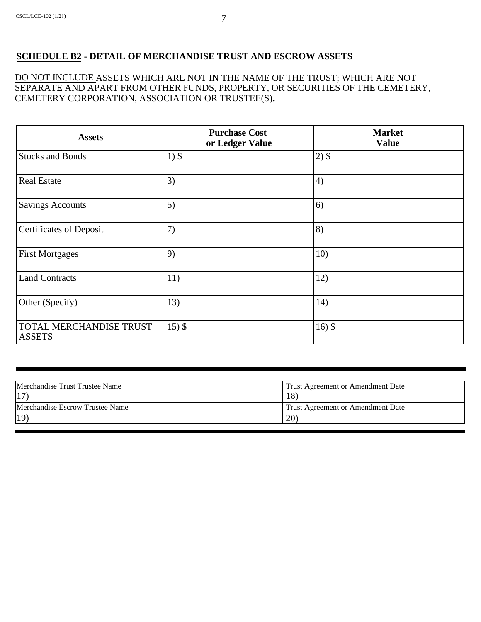## **SCHEDULE B2 - DETAIL OF MERCHANDISE TRUST AND ESCROW ASSETS**

DO NOT INCLUDE ASSETS WHICH ARE NOT IN THE NAME OF THE TRUST; WHICH ARE NOT SEPARATE AND APART FROM OTHER FUNDS, PROPERTY, OR SECURITIES OF THE CEMETERY, CEMETERY CORPORATION, ASSOCIATION OR TRUSTEE(S).

| <b>Assets</b>                            | <b>Purchase Cost</b><br>or Ledger Value | <b>Market</b><br><b>Value</b> |  |  |
|------------------------------------------|-----------------------------------------|-------------------------------|--|--|
| <b>Stocks and Bonds</b>                  | $1)$ \$                                 | $2)$ \$                       |  |  |
| <b>Real Estate</b>                       | 3)                                      | 4)                            |  |  |
| <b>Savings Accounts</b>                  | 5)                                      | 6)                            |  |  |
| <b>Certificates of Deposit</b>           | 7)                                      | 8)                            |  |  |
| <b>First Mortgages</b>                   | 9)                                      | 10)                           |  |  |
| <b>Land Contracts</b>                    | 11)                                     | 12)                           |  |  |
| Other (Specify)                          | 13)                                     | 14)                           |  |  |
| TOTAL MERCHANDISE TRUST<br><b>ASSETS</b> | $15)$ \$                                | $16)$ \$                      |  |  |

| Merchandise Trust Trustee Name  | Trust Agreement or Amendment Date |
|---------------------------------|-----------------------------------|
| 17                              | 18)                               |
| Merchandise Escrow Trustee Name | Trust Agreement or Amendment Date |
| 19)                             | (20)                              |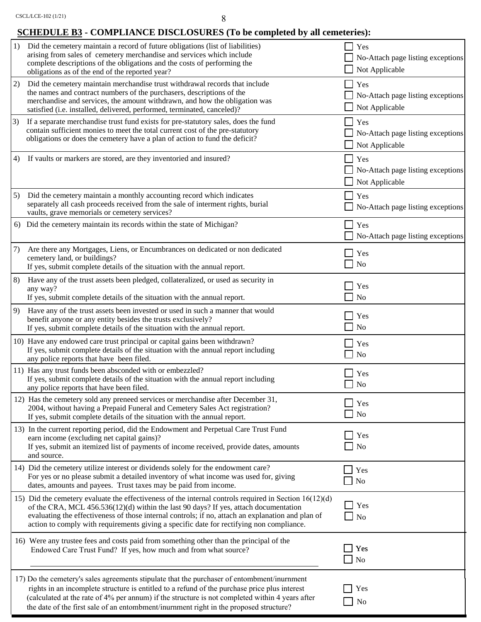# **SCHEDULE B3 - COMPLIANCE DISCLOSURES (To be completed by all cemeteries):**

| 1) | Did the cemetery maintain a record of future obligations (list of liabilities)<br>arising from sales of cemetery merchandise and services which include<br>complete descriptions of the obligations and the costs of performing the<br>obligations as of the end of the reported year?                                                                                                              | $\blacksquare$           | Yes<br>No-Attach page listing exceptions<br>Not Applicable                |
|----|-----------------------------------------------------------------------------------------------------------------------------------------------------------------------------------------------------------------------------------------------------------------------------------------------------------------------------------------------------------------------------------------------------|--------------------------|---------------------------------------------------------------------------|
| 2) | Did the cemetery maintain merchandise trust withdrawal records that include<br>the names and contract numbers of the purchasers, descriptions of the<br>merchandise and services, the amount withdrawn, and how the obligation was<br>satisfied (i.e. installed, delivered, performed, terminated, canceled)?                                                                                       | $\mathsf{L}$             | Yes<br>No-Attach page listing exceptions<br>Not Applicable                |
| 3) | If a separate merchandise trust fund exists for pre-statutory sales, does the fund<br>contain sufficient monies to meet the total current cost of the pre-statutory<br>obligations or does the cemetery have a plan of action to fund the deficit?                                                                                                                                                  |                          | $\blacksquare$ Yes<br>No-Attach page listing exceptions<br>Not Applicable |
| 4) | If vaults or markers are stored, are they inventoried and insured?                                                                                                                                                                                                                                                                                                                                  | $\blacksquare$           | Yes<br>No-Attach page listing exceptions<br>Not Applicable                |
| 5) | Did the cemetery maintain a monthly accounting record which indicates<br>separately all cash proceeds received from the sale of interment rights, burial<br>vaults, grave memorials or cemetery services?                                                                                                                                                                                           |                          | Yes<br>No-Attach page listing exceptions                                  |
|    | 6) Did the cemetery maintain its records within the state of Michigan?                                                                                                                                                                                                                                                                                                                              |                          | Yes<br>No-Attach page listing exceptions                                  |
| 7) | Are there any Mortgages, Liens, or Encumbrances on dedicated or non dedicated<br>cemetery land, or buildings?<br>If yes, submit complete details of the situation with the annual report.                                                                                                                                                                                                           |                          | Yes<br>N <sub>o</sub>                                                     |
| 8) | Have any of the trust assets been pledged, collateralized, or used as security in<br>any way?<br>If yes, submit complete details of the situation with the annual report.                                                                                                                                                                                                                           | $\blacksquare$           | Yes<br>N <sub>o</sub>                                                     |
| 9) | Have any of the trust assets been invested or used in such a manner that would<br>benefit anyone or any entity besides the trusts exclusively?<br>If yes, submit complete details of the situation with the annual report.                                                                                                                                                                          | $\overline{\phantom{0}}$ | $\blacksquare$ Yes<br>No                                                  |
|    | 10) Have any endowed care trust principal or capital gains been withdrawn?<br>If yes, submit complete details of the situation with the annual report including<br>any police reports that have been filed.                                                                                                                                                                                         |                          | $\blacksquare$ Yes<br>$\Box$ No                                           |
|    | 11) Has any trust funds been absconded with or embezzled?<br>If yes, submit complete details of the situation with the annual report including<br>any police reports that have been filed.                                                                                                                                                                                                          |                          | Yes<br>$\Box$ No                                                          |
|    | 12) Has the cemetery sold any preneed services or merchandise after December 31,<br>2004, without having a Prepaid Funeral and Cemetery Sales Act registration?<br>If yes, submit complete details of the situation with the annual report.                                                                                                                                                         |                          | Yes<br>$\blacksquare$ No                                                  |
|    | 13) In the current reporting period, did the Endowment and Perpetual Care Trust Fund<br>earn income (excluding net capital gains)?<br>If yes, submit an itemized list of payments of income received, provide dates, amounts<br>and source.                                                                                                                                                         |                          | Yes<br>N <sub>o</sub>                                                     |
|    | 14) Did the cemetery utilize interest or dividends solely for the endowment care?<br>For yes or no please submit a detailed inventory of what income was used for, giving<br>dates, amounts and payees. Trust taxes may be paid from income.                                                                                                                                                        | $\blacksquare$           | Yes<br>No                                                                 |
|    | 15) Did the cemetery evaluate the effectiveness of the internal controls required in Section $16(12)(d)$<br>of the CRA, MCL $456.536(12)(d)$ within the last 90 days? If yes, attach documentation<br>evaluating the effectiveness of those internal controls; if no, attach an explanation and plan of<br>action to comply with requirements giving a specific date for rectifying non compliance. | $\overline{\phantom{a}}$ | Yes<br>$\Box$ No                                                          |
|    | 16) Were any trustee fees and costs paid from something other than the principal of the<br>Endowed Care Trust Fund? If yes, how much and from what source?                                                                                                                                                                                                                                          |                          | Yes<br>N <sub>o</sub>                                                     |
|    | 17) Do the cemetery's sales agreements stipulate that the purchaser of entombment/inurnment<br>rights in an incomplete structure is entitled to a refund of the purchase price plus interest<br>(calculated at the rate of 4% per annum) if the structure is not completed within 4 years after<br>the date of the first sale of an entombment/inurnment right in the proposed structure?           |                          | Yes<br>No                                                                 |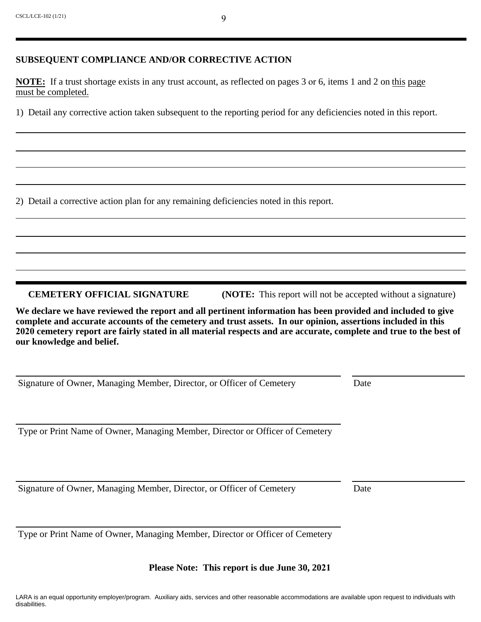#### **SUBSEQUENT COMPLIANCE AND/OR CORRECTIVE ACTION**

**NOTE:** If a trust shortage exists in any trust account, as reflected on pages 3 or 6, items 1 and 2 on this page must be completed.

1) Detail any corrective action taken subsequent to the reporting period for any deficiencies noted in this report.

2) Detail a corrective action plan for any remaining deficiencies noted in this report.

**CEMETERY OFFICIAL SIGNATURE** (NOTE: This report will not be accepted without a signature)

**We declare we have reviewed the report and all pertinent information has been provided and included to give complete and accurate accounts of the cemetery and trust assets. In our opinion, assertions included in this 2020 cemetery report are fairly stated in all material respects and are accurate, complete and true to the best of our knowledge and belief.**

Signature of Owner, Managing Member, Director, or Officer of Cemetery Date

Type or Print Name of Owner, Managing Member, Director or Officer of Cemetery

Signature of Owner, Managing Member, Director, or Officer of Cemetery Date

Type or Print Name of Owner, Managing Member, Director or Officer of Cemetery

**Please Note: This report is due June 30, 2021**

9

LARA is an equal opportunity employer/program. Auxiliary aids, services and other reasonable accommodations are available upon request to individuals with disabilities.